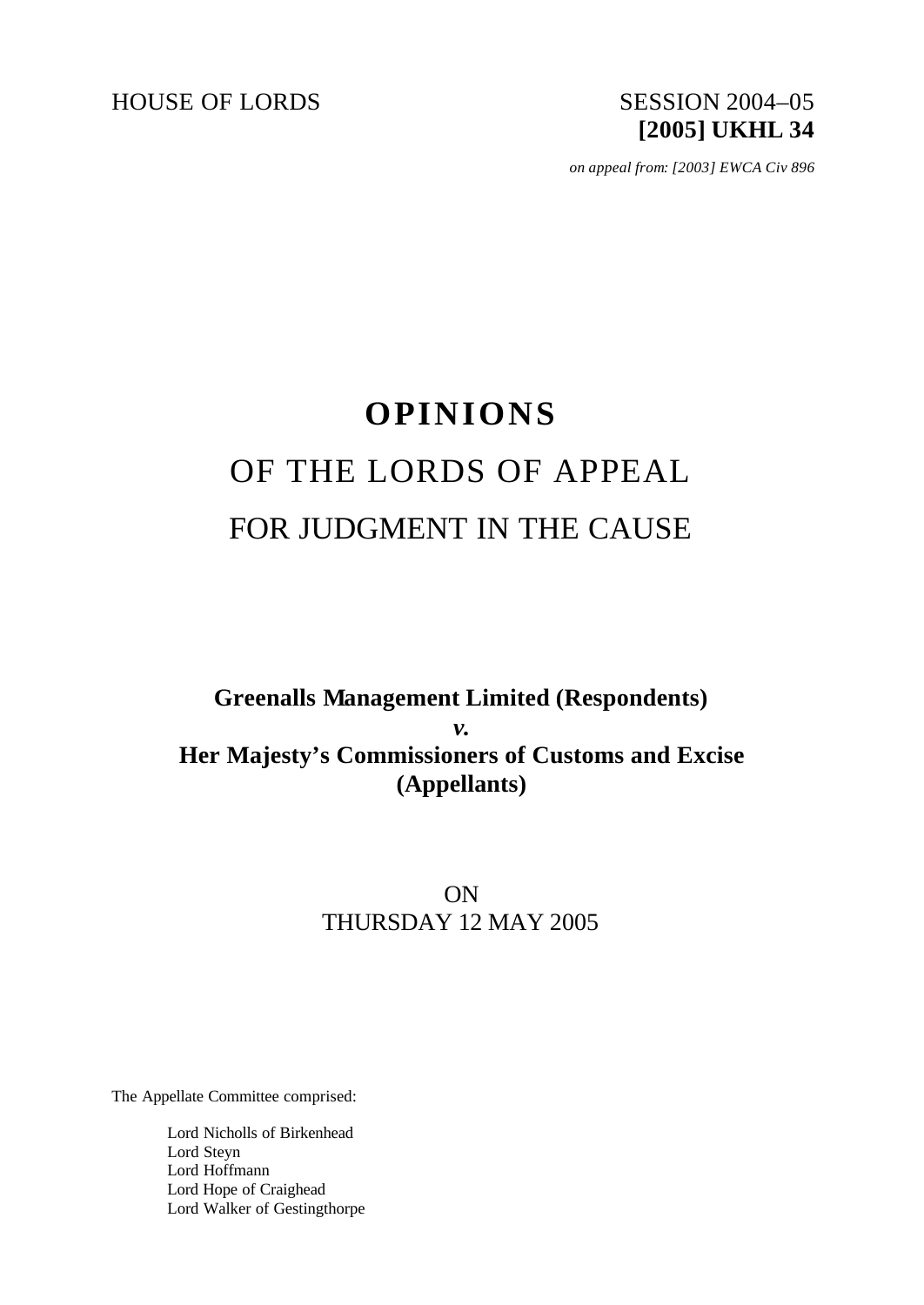HOUSE OF LORDS SESSION 2004-05

# **[2005] UKHL 34**

*on appeal from: [2003] EWCA Civ 896*

## **OPINIONS** OF THE LORDS OF APPEAL FOR JUDGMENT IN THE CAUSE

## **Greenalls Management Limited (Respondents)** *v.* **Her Majesty's Commissioners of Customs and Excise (Appellants)**

### ON THURSDAY 12 MAY 2005

The Appellate Committee comprised:

Lord Nicholls of Birkenhead Lord Steyn Lord Hoffmann Lord Hope of Craighead Lord Walker of Gestingthorpe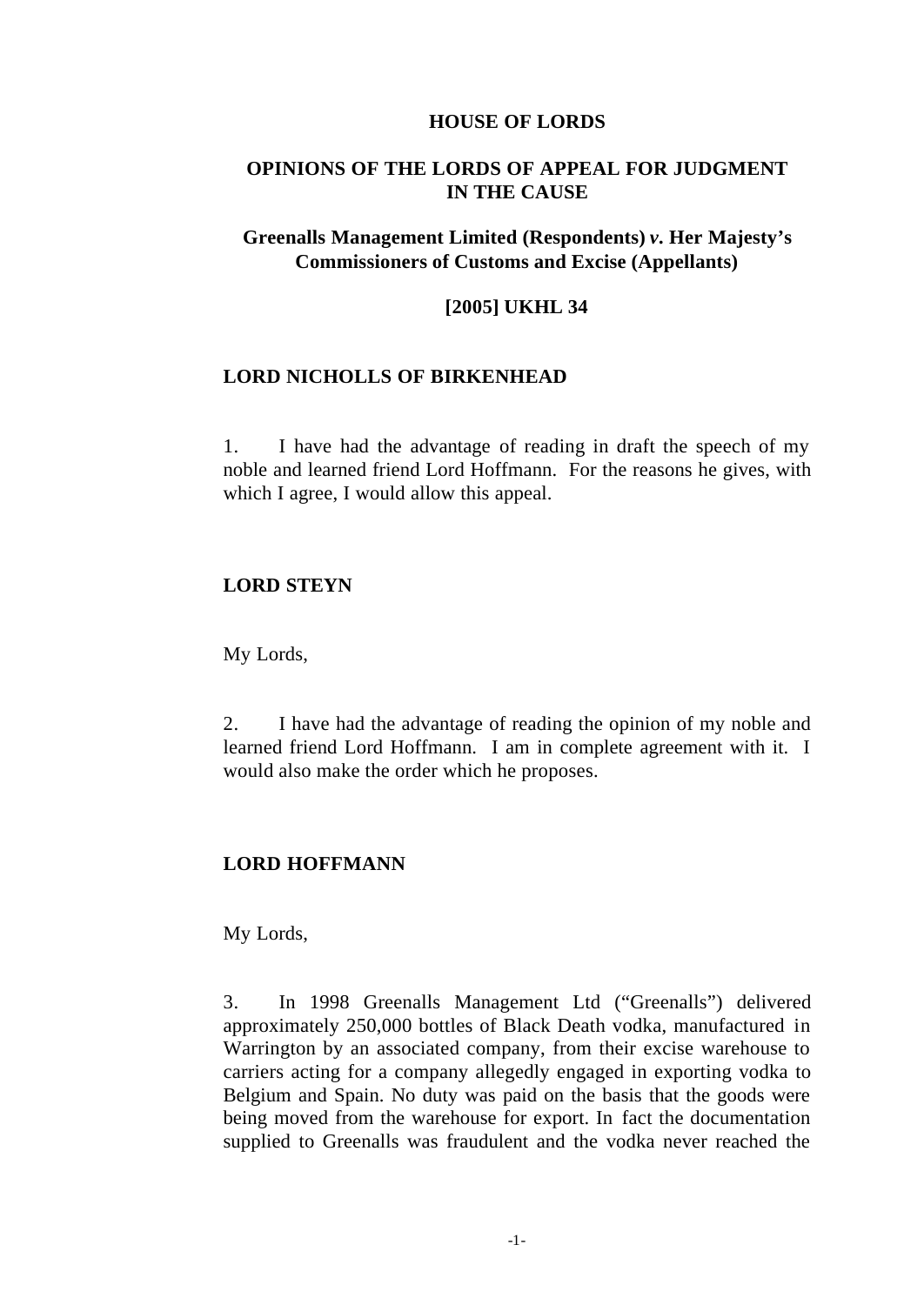#### **HOUSE OF LORDS**

#### **OPINIONS OF THE LORDS OF APPEAL FOR JUDGMENT IN THE CAUSE**

#### **Greenalls Management Limited (Respondents)** *v.* **Her Majesty's Commissioners of Customs and Excise (Appellants)**

#### **[2005] UKHL 34**

#### **LORD NICHOLLS OF BIRKENHEAD**

1. I have had the advantage of reading in draft the speech of my noble and learned friend Lord Hoffmann. For the reasons he gives, with which I agree, I would allow this appeal.

#### **LORD STEYN**

My Lords,

2. I have had the advantage of reading the opinion of my noble and learned friend Lord Hoffmann. I am in complete agreement with it. I would also make the order which he proposes.

#### **LORD HOFFMANN**

My Lords,

3. In 1998 Greenalls Management Ltd ("Greenalls") delivered approximately 250,000 bottles of Black Death vodka, manufactured in Warrington by an associated company, from their excise warehouse to carriers acting for a company allegedly engaged in exporting vodka to Belgium and Spain. No duty was paid on the basis that the goods were being moved from the warehouse for export. In fact the documentation supplied to Greenalls was fraudulent and the vodka never reached the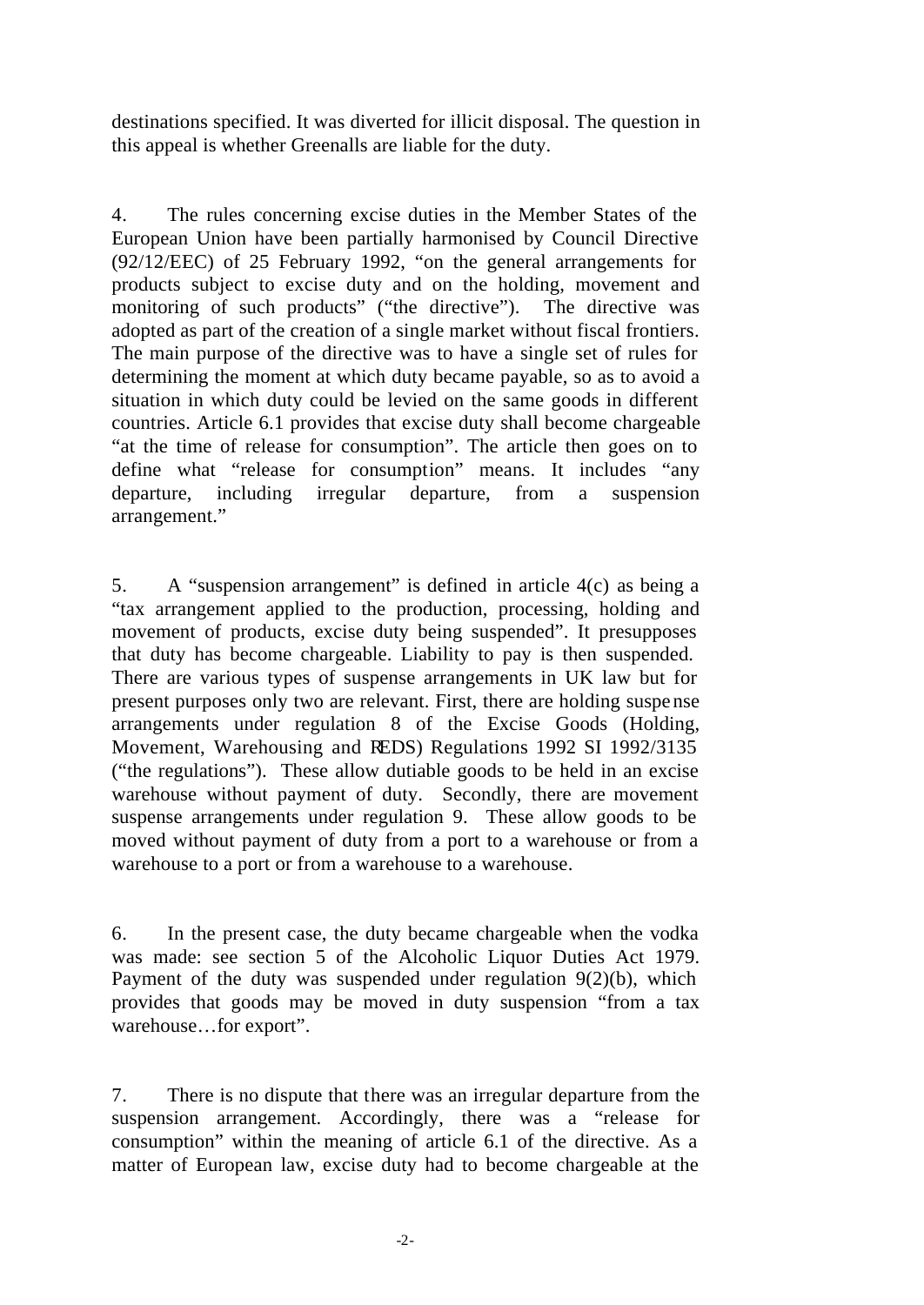destinations specified. It was diverted for illicit disposal. The question in this appeal is whether Greenalls are liable for the duty.

4. The rules concerning excise duties in the Member States of the European Union have been partially harmonised by Council Directive (92/12/EEC) of 25 February 1992, "on the general arrangements for products subject to excise duty and on the holding, movement and monitoring of such products" ("the directive"). The directive was adopted as part of the creation of a single market without fiscal frontiers. The main purpose of the directive was to have a single set of rules for determining the moment at which duty became payable, so as to avoid a situation in which duty could be levied on the same goods in different countries. Article 6.1 provides that excise duty shall become chargeable "at the time of release for consumption". The article then goes on to define what "release for consumption" means. It includes "any departure, including irregular departure, from a suspension arrangement."

5. A "suspension arrangement" is defined in article 4(c) as being a "tax arrangement applied to the production, processing, holding and movement of products, excise duty being suspended". It presupposes that duty has become chargeable. Liability to pay is then suspended. There are various types of suspense arrangements in UK law but for present purposes only two are relevant. First, there are holding suspense arrangements under regulation 8 of the Excise Goods (Holding, Movement, Warehousing and REDS) Regulations 1992 SI 1992/3135 ("the regulations"). These allow dutiable goods to be held in an excise warehouse without payment of duty. Secondly, there are movement suspense arrangements under regulation 9. These allow goods to be moved without payment of duty from a port to a warehouse or from a warehouse to a port or from a warehouse to a warehouse.

6. In the present case, the duty became chargeable when the vodka was made: see section 5 of the Alcoholic Liquor Duties Act 1979. Payment of the duty was suspended under regulation 9(2)(b), which provides that goods may be moved in duty suspension "from a tax warehouse…for export".

7. There is no dispute that there was an irregular departure from the suspension arrangement. Accordingly, there was a "release for consumption" within the meaning of article 6.1 of the directive. As a matter of European law, excise duty had to become chargeable at the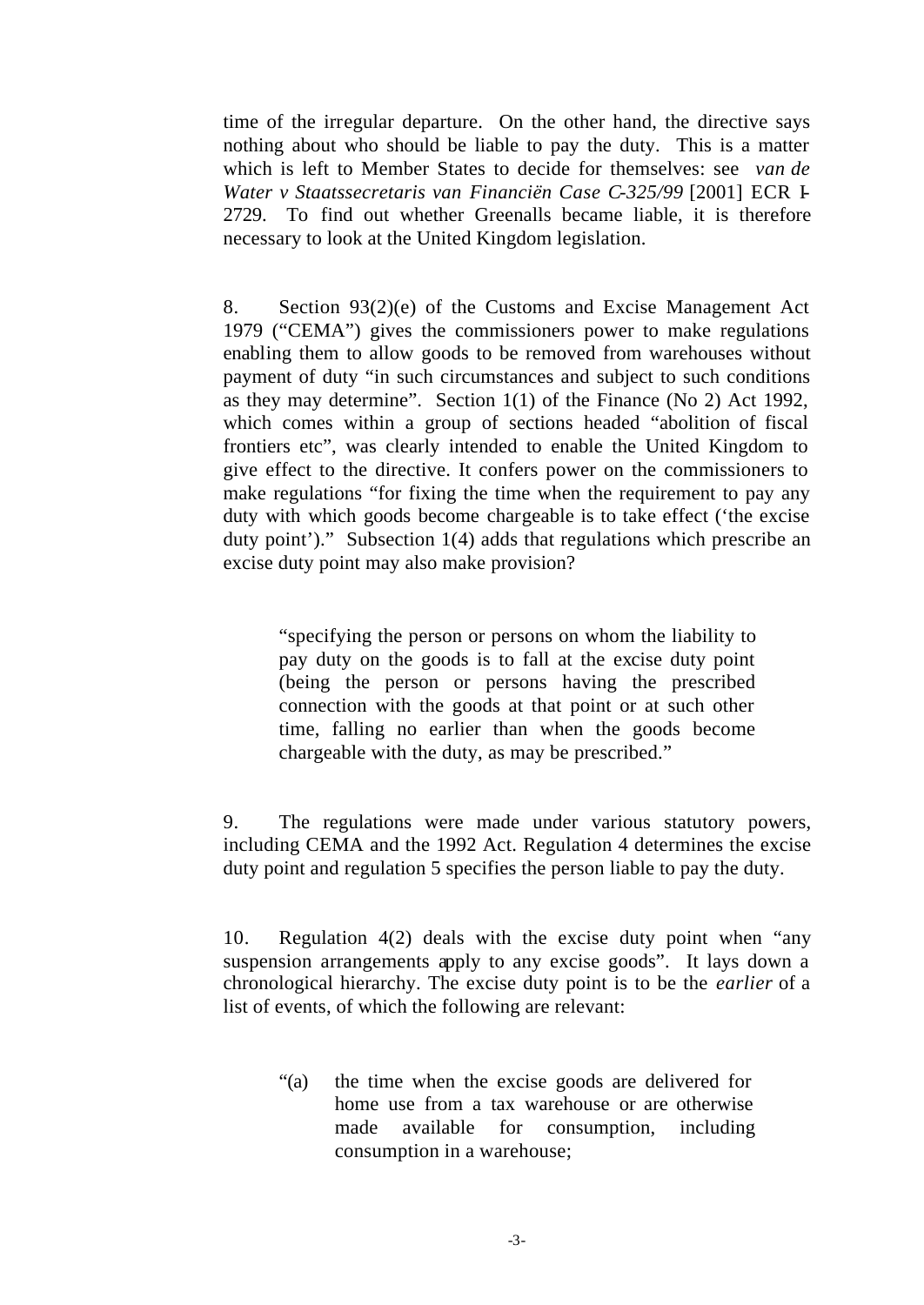time of the irregular departure. On the other hand, the directive says nothing about who should be liable to pay the duty. This is a matter which is left to Member States to decide for themselves: see *van de Water v Staatssecretaris van Financiën Case C-325/99* [2001] ECR I-2729. To find out whether Greenalls became liable, it is therefore necessary to look at the United Kingdom legislation.

8. Section 93(2)(e) of the Customs and Excise Management Act 1979 ("CEMA") gives the commissioners power to make regulations enabling them to allow goods to be removed from warehouses without payment of duty "in such circumstances and subject to such conditions as they may determine". Section 1(1) of the Finance (No 2) Act 1992, which comes within a group of sections headed "abolition of fiscal frontiers etc", was clearly intended to enable the United Kingdom to give effect to the directive. It confers power on the commissioners to make regulations "for fixing the time when the requirement to pay any duty with which goods become chargeable is to take effect ('the excise duty point')." Subsection 1(4) adds that regulations which prescribe an excise duty point may also make provision?

"specifying the person or persons on whom the liability to pay duty on the goods is to fall at the excise duty point (being the person or persons having the prescribed connection with the goods at that point or at such other time, falling no earlier than when the goods become chargeable with the duty, as may be prescribed."

9. The regulations were made under various statutory powers, including CEMA and the 1992 Act. Regulation 4 determines the excise duty point and regulation 5 specifies the person liable to pay the duty.

10. Regulation 4(2) deals with the excise duty point when "any suspension arrangements apply to any excise goods". It lays down a chronological hierarchy. The excise duty point is to be the *earlier* of a list of events, of which the following are relevant:

"(a) the time when the excise goods are delivered for home use from a tax warehouse or are otherwise made available for consumption, including consumption in a warehouse;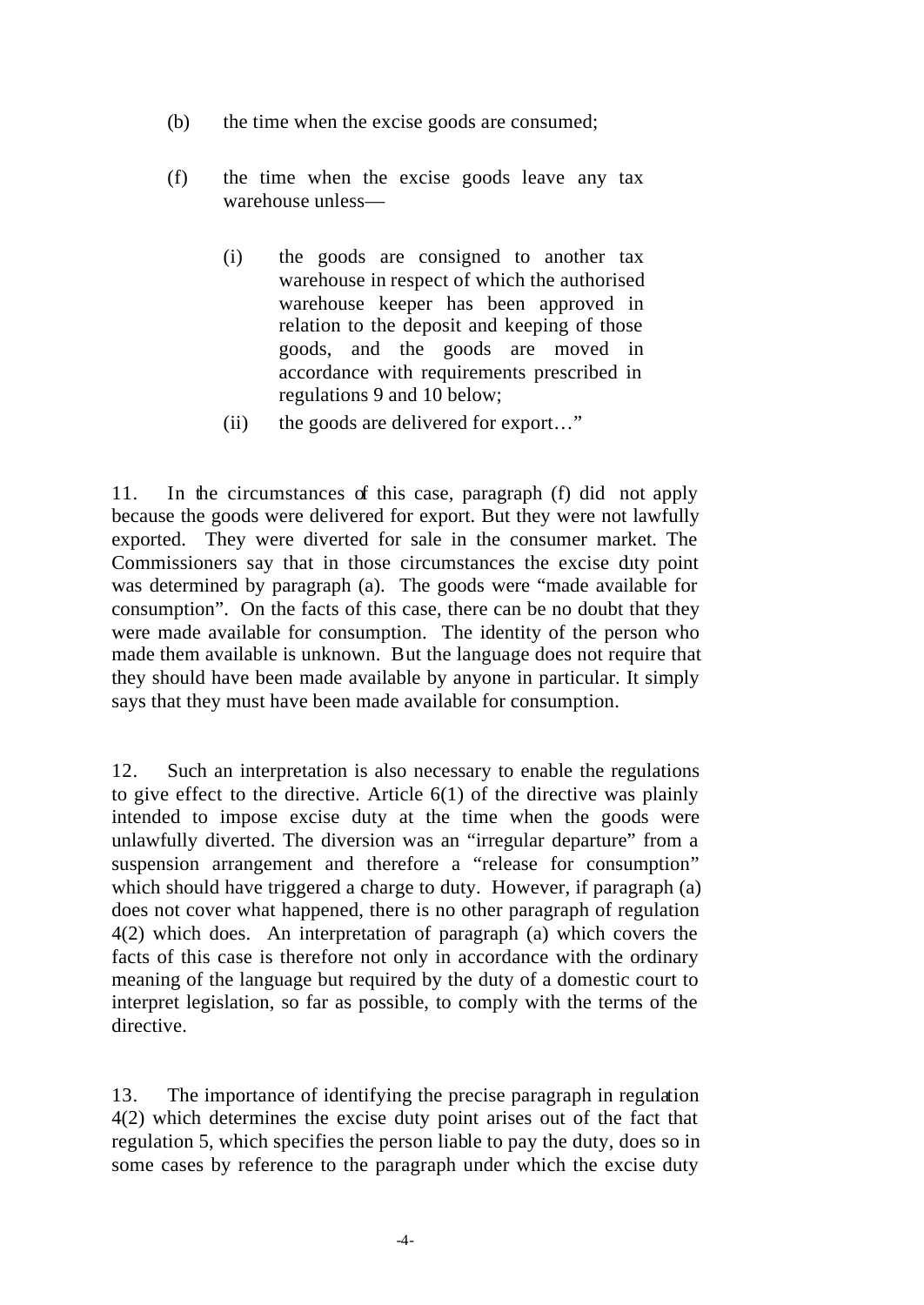- (b) the time when the excise goods are consumed;
- (f) the time when the excise goods leave any tax warehouse unless—
	- (i) the goods are consigned to another tax warehouse in respect of which the authorised warehouse keeper has been approved in relation to the deposit and keeping of those goods, and the goods are moved in accordance with requirements prescribed in regulations 9 and 10 below;
	- (ii) the goods are delivered for export…"

11. In the circumstances of this case, paragraph (f) did not apply because the goods were delivered for export. But they were not lawfully exported. They were diverted for sale in the consumer market. The Commissioners say that in those circumstances the excise duty point was determined by paragraph (a). The goods were "made available for consumption". On the facts of this case, there can be no doubt that they were made available for consumption. The identity of the person who made them available is unknown. But the language does not require that they should have been made available by anyone in particular. It simply says that they must have been made available for consumption.

12. Such an interpretation is also necessary to enable the regulations to give effect to the directive. Article 6(1) of the directive was plainly intended to impose excise duty at the time when the goods were unlawfully diverted. The diversion was an "irregular departure" from a suspension arrangement and therefore a "release for consumption" which should have triggered a charge to duty. However, if paragraph (a) does not cover what happened, there is no other paragraph of regulation 4(2) which does. An interpretation of paragraph (a) which covers the facts of this case is therefore not only in accordance with the ordinary meaning of the language but required by the duty of a domestic court to interpret legislation, so far as possible, to comply with the terms of the directive.

13. The importance of identifying the precise paragraph in regulation 4(2) which determines the excise duty point arises out of the fact that regulation 5, which specifies the person liable to pay the duty, does so in some cases by reference to the paragraph under which the excise duty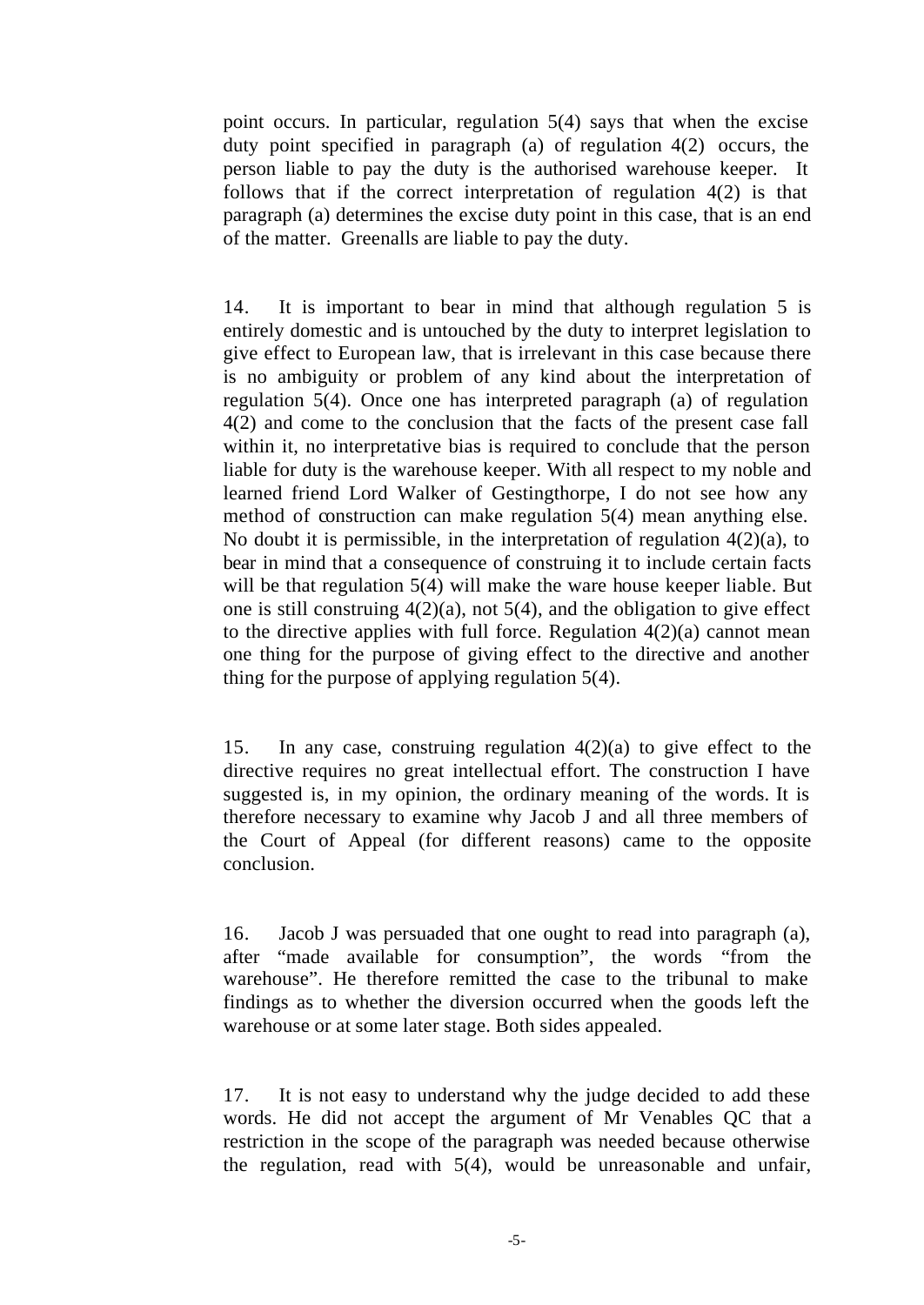point occurs. In particular, regulation 5(4) says that when the excise duty point specified in paragraph (a) of regulation 4(2) occurs, the person liable to pay the duty is the authorised warehouse keeper. It follows that if the correct interpretation of regulation 4(2) is that paragraph (a) determines the excise duty point in this case, that is an end of the matter. Greenalls are liable to pay the duty.

14. It is important to bear in mind that although regulation 5 is entirely domestic and is untouched by the duty to interpret legislation to give effect to European law, that is irrelevant in this case because there is no ambiguity or problem of any kind about the interpretation of regulation 5(4). Once one has interpreted paragraph (a) of regulation 4(2) and come to the conclusion that the facts of the present case fall within it, no interpretative bias is required to conclude that the person liable for duty is the warehouse keeper. With all respect to my noble and learned friend Lord Walker of Gestingthorpe, I do not see how any method of construction can make regulation 5(4) mean anything else. No doubt it is permissible, in the interpretation of regulation  $4(2)(a)$ , to bear in mind that a consequence of construing it to include certain facts will be that regulation 5(4) will make the ware house keeper liable. But one is still construing  $4(2)(a)$ , not  $5(4)$ , and the obligation to give effect to the directive applies with full force. Regulation  $4(2)(a)$  cannot mean one thing for the purpose of giving effect to the directive and another thing for the purpose of applying regulation 5(4).

15. In any case, construing regulation 4(2)(a) to give effect to the directive requires no great intellectual effort. The construction I have suggested is, in my opinion, the ordinary meaning of the words. It is therefore necessary to examine why Jacob J and all three members of the Court of Appeal (for different reasons) came to the opposite conclusion.

16. Jacob J was persuaded that one ought to read into paragraph (a), after "made available for consumption", the words "from the warehouse". He therefore remitted the case to the tribunal to make findings as to whether the diversion occurred when the goods left the warehouse or at some later stage. Both sides appealed.

17. It is not easy to understand why the judge decided to add these words. He did not accept the argument of Mr Venables QC that a restriction in the scope of the paragraph was needed because otherwise the regulation, read with 5(4), would be unreasonable and unfair,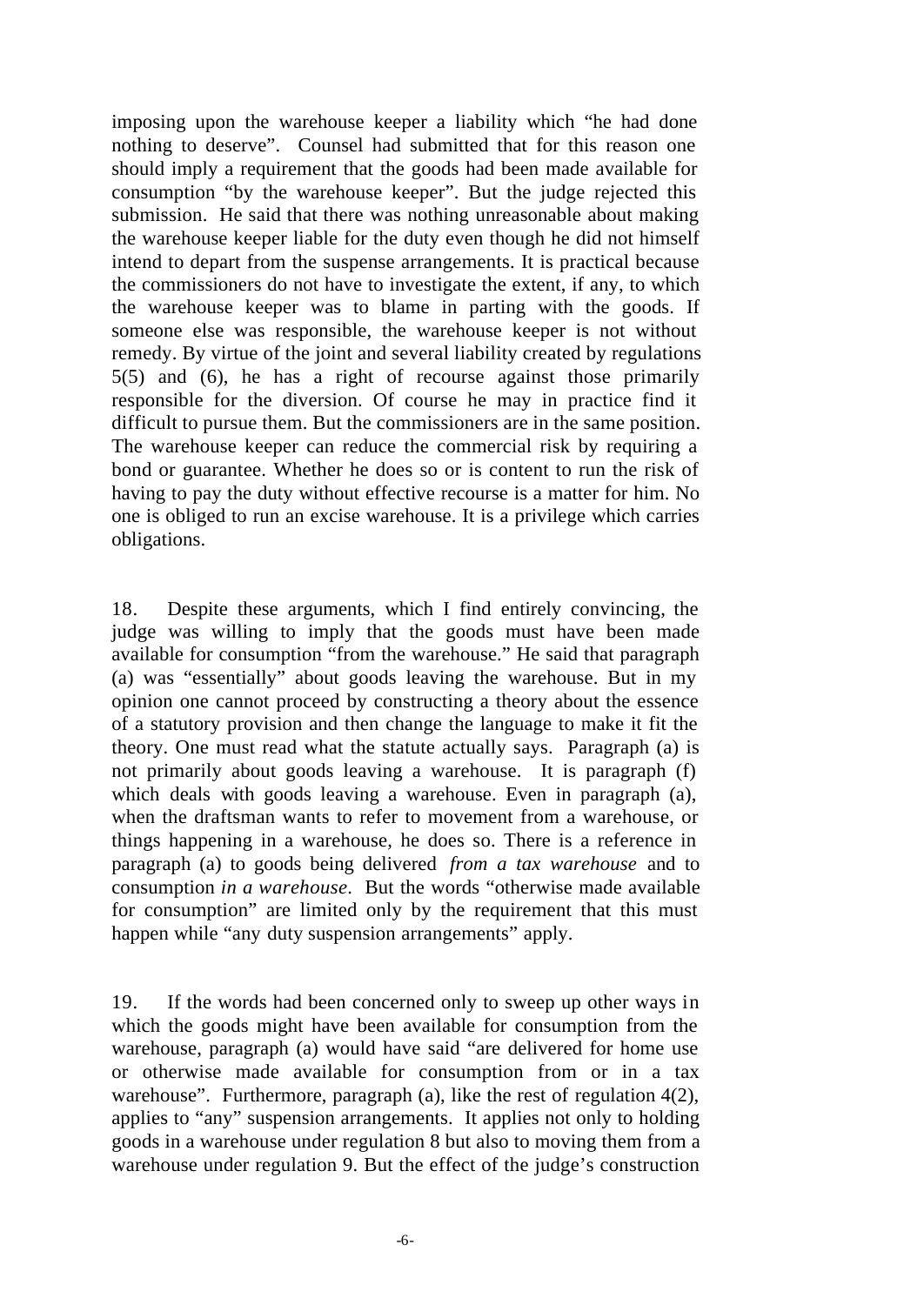imposing upon the warehouse keeper a liability which "he had done nothing to deserve". Counsel had submitted that for this reason one should imply a requirement that the goods had been made available for consumption "by the warehouse keeper". But the judge rejected this submission. He said that there was nothing unreasonable about making the warehouse keeper liable for the duty even though he did not himself intend to depart from the suspense arrangements. It is practical because the commissioners do not have to investigate the extent, if any, to which the warehouse keeper was to blame in parting with the goods. If someone else was responsible, the warehouse keeper is not without remedy. By virtue of the joint and several liability created by regulations 5(5) and (6), he has a right of recourse against those primarily responsible for the diversion. Of course he may in practice find it difficult to pursue them. But the commissioners are in the same position. The warehouse keeper can reduce the commercial risk by requiring a bond or guarantee. Whether he does so or is content to run the risk of having to pay the duty without effective recourse is a matter for him. No one is obliged to run an excise warehouse. It is a privilege which carries obligations.

18. Despite these arguments, which I find entirely convincing, the judge was willing to imply that the goods must have been made available for consumption "from the warehouse." He said that paragraph (a) was "essentially" about goods leaving the warehouse. But in my opinion one cannot proceed by constructing a theory about the essence of a statutory provision and then change the language to make it fit the theory. One must read what the statute actually says. Paragraph (a) is not primarily about goods leaving a warehouse. It is paragraph (f) which deals with goods leaving a warehouse. Even in paragraph (a), when the draftsman wants to refer to movement from a warehouse, or things happening in a warehouse, he does so. There is a reference in paragraph (a) to goods being delivered *from a tax warehouse* and to consumption *in a warehouse*. But the words "otherwise made available for consumption" are limited only by the requirement that this must happen while "any duty suspension arrangements" apply.

19. If the words had been concerned only to sweep up other ways in which the goods might have been available for consumption from the warehouse, paragraph (a) would have said "are delivered for home use or otherwise made available for consumption from or in a tax warehouse". Furthermore, paragraph (a), like the rest of regulation 4(2), applies to "any" suspension arrangements. It applies not only to holding goods in a warehouse under regulation 8 but also to moving them from a warehouse under regulation 9. But the effect of the judge's construction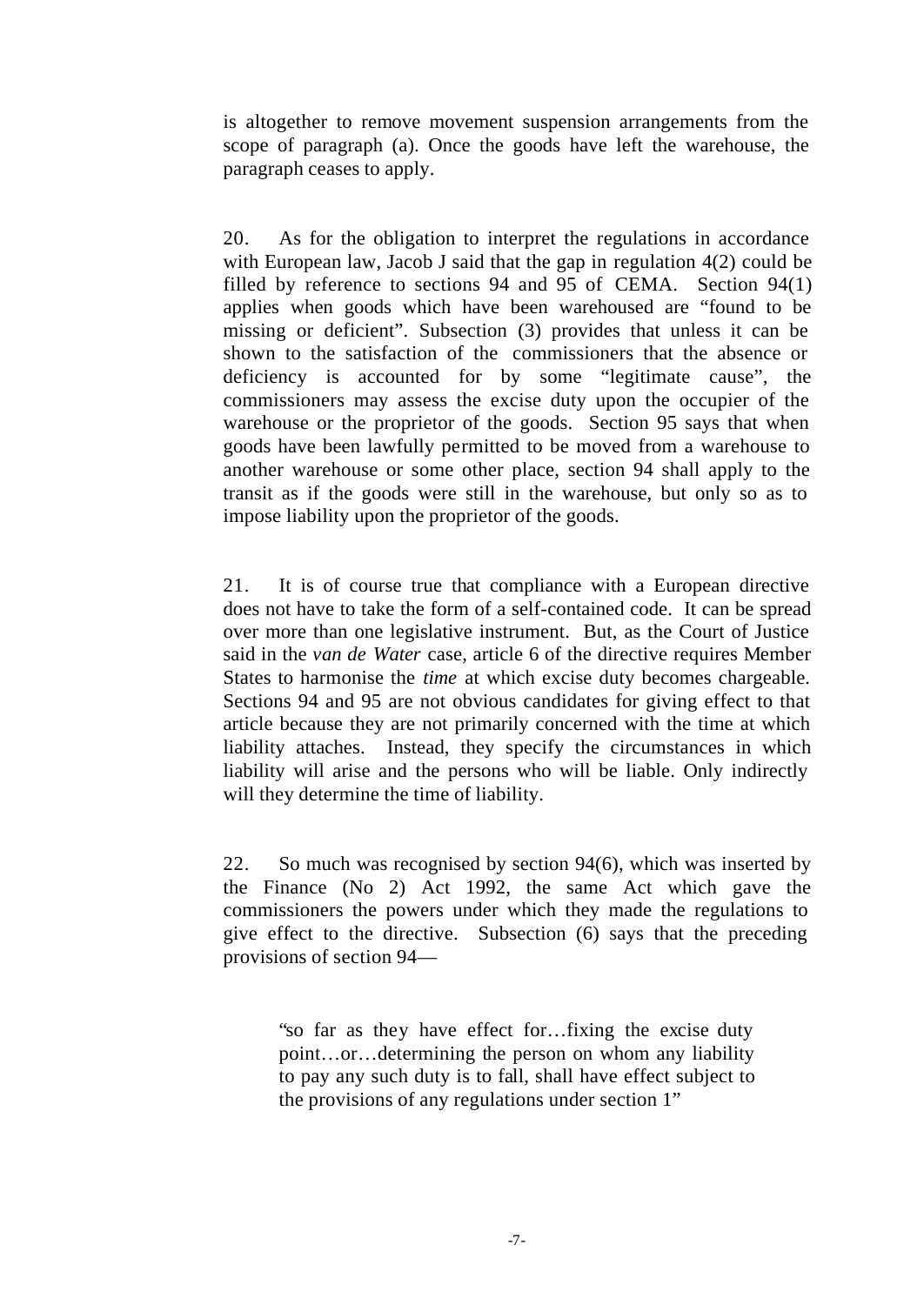is altogether to remove movement suspension arrangements from the scope of paragraph (a). Once the goods have left the warehouse, the paragraph ceases to apply.

20. As for the obligation to interpret the regulations in accordance with European law, Jacob J said that the gap in regulation 4(2) could be filled by reference to sections 94 and 95 of CEMA. Section 94(1) applies when goods which have been warehoused are "found to be missing or deficient". Subsection (3) provides that unless it can be shown to the satisfaction of the commissioners that the absence or deficiency is accounted for by some "legitimate cause", the commissioners may assess the excise duty upon the occupier of the warehouse or the proprietor of the goods. Section 95 says that when goods have been lawfully permitted to be moved from a warehouse to another warehouse or some other place, section 94 shall apply to the transit as if the goods were still in the warehouse, but only so as to impose liability upon the proprietor of the goods.

21. It is of course true that compliance with a European directive does not have to take the form of a self-contained code. It can be spread over more than one legislative instrument. But, as the Court of Justice said in the *van de Water* case, article 6 of the directive requires Member States to harmonise the *time* at which excise duty becomes chargeable. Sections 94 and 95 are not obvious candidates for giving effect to that article because they are not primarily concerned with the time at which liability attaches. Instead, they specify the circumstances in which liability will arise and the persons who will be liable. Only indirectly will they determine the time of liability.

22. So much was recognised by section 94(6), which was inserted by the Finance (No 2) Act 1992, the same Act which gave the commissioners the powers under which they made the regulations to give effect to the directive. Subsection (6) says that the preceding provisions of section 94—

"so far as they have effect for…fixing the excise duty point…or…determining the person on whom any liability to pay any such duty is to fall, shall have effect subject to the provisions of any regulations under section 1"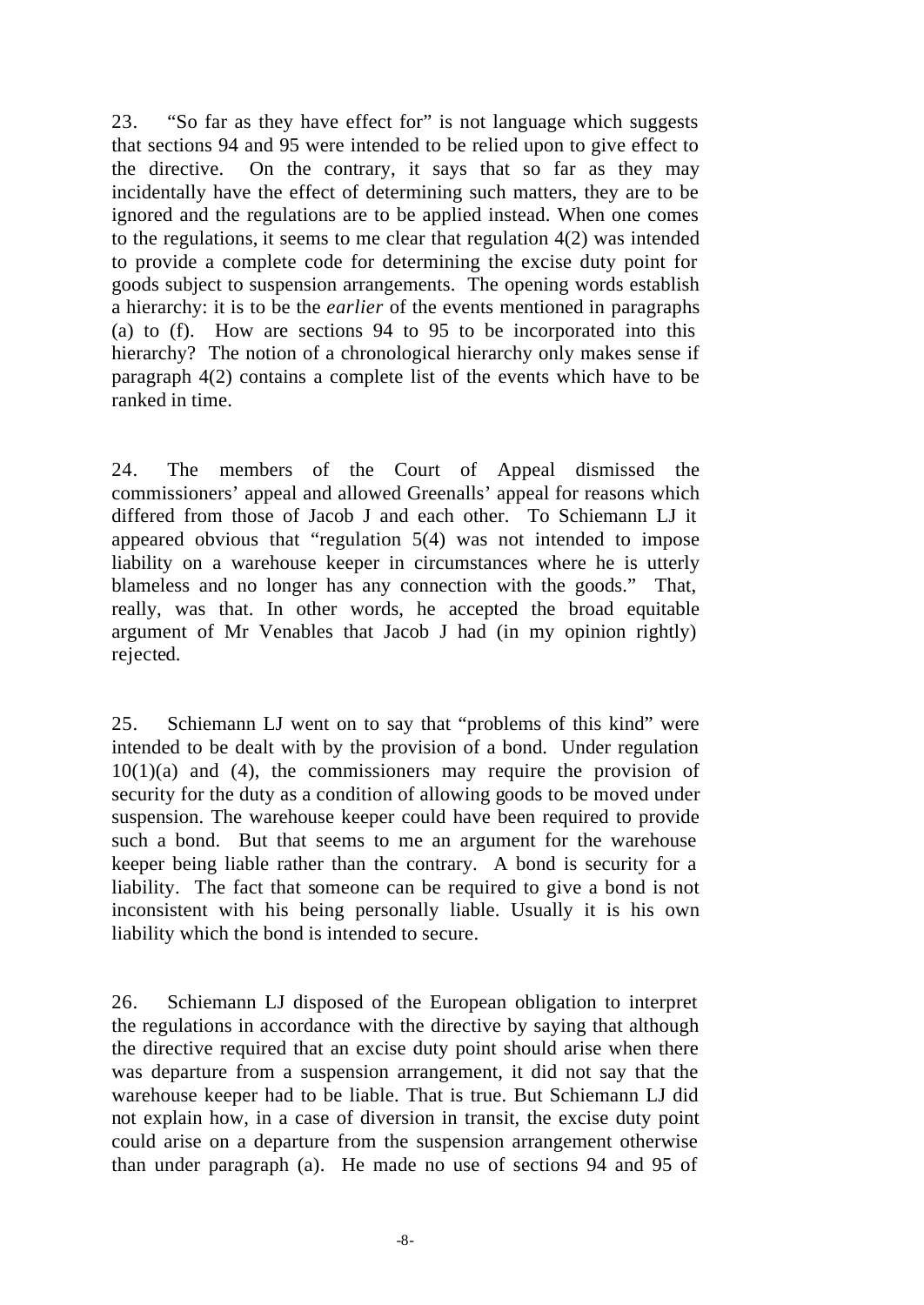23. "So far as they have effect for" is not language which suggests that sections 94 and 95 were intended to be relied upon to give effect to the directive. On the contrary, it says that so far as they may incidentally have the effect of determining such matters, they are to be ignored and the regulations are to be applied instead. When one comes to the regulations, it seems to me clear that regulation 4(2) was intended to provide a complete code for determining the excise duty point for goods subject to suspension arrangements. The opening words establish a hierarchy: it is to be the *earlier* of the events mentioned in paragraphs (a) to (f). How are sections 94 to 95 to be incorporated into this hierarchy? The notion of a chronological hierarchy only makes sense if paragraph 4(2) contains a complete list of the events which have to be ranked in time.

24. The members of the Court of Appeal dismissed the commissioners' appeal and allowed Greenalls' appeal for reasons which differed from those of Jacob J and each other. To Schiemann LJ it appeared obvious that "regulation 5(4) was not intended to impose liability on a warehouse keeper in circumstances where he is utterly blameless and no longer has any connection with the goods." That, really, was that. In other words, he accepted the broad equitable argument of Mr Venables that Jacob J had (in my opinion rightly) rejected.

25. Schiemann LJ went on to say that "problems of this kind" were intended to be dealt with by the provision of a bond. Under regulation  $10(1)(a)$  and  $(4)$ , the commissioners may require the provision of security for the duty as a condition of allowing goods to be moved under suspension. The warehouse keeper could have been required to provide such a bond. But that seems to me an argument for the warehouse keeper being liable rather than the contrary. A bond is security for a liability. The fact that someone can be required to give a bond is not inconsistent with his being personally liable. Usually it is his own liability which the bond is intended to secure.

26. Schiemann LJ disposed of the European obligation to interpret the regulations in accordance with the directive by saying that although the directive required that an excise duty point should arise when there was departure from a suspension arrangement, it did not say that the warehouse keeper had to be liable. That is true. But Schiemann LJ did not explain how, in a case of diversion in transit, the excise duty point could arise on a departure from the suspension arrangement otherwise than under paragraph (a). He made no use of sections 94 and 95 of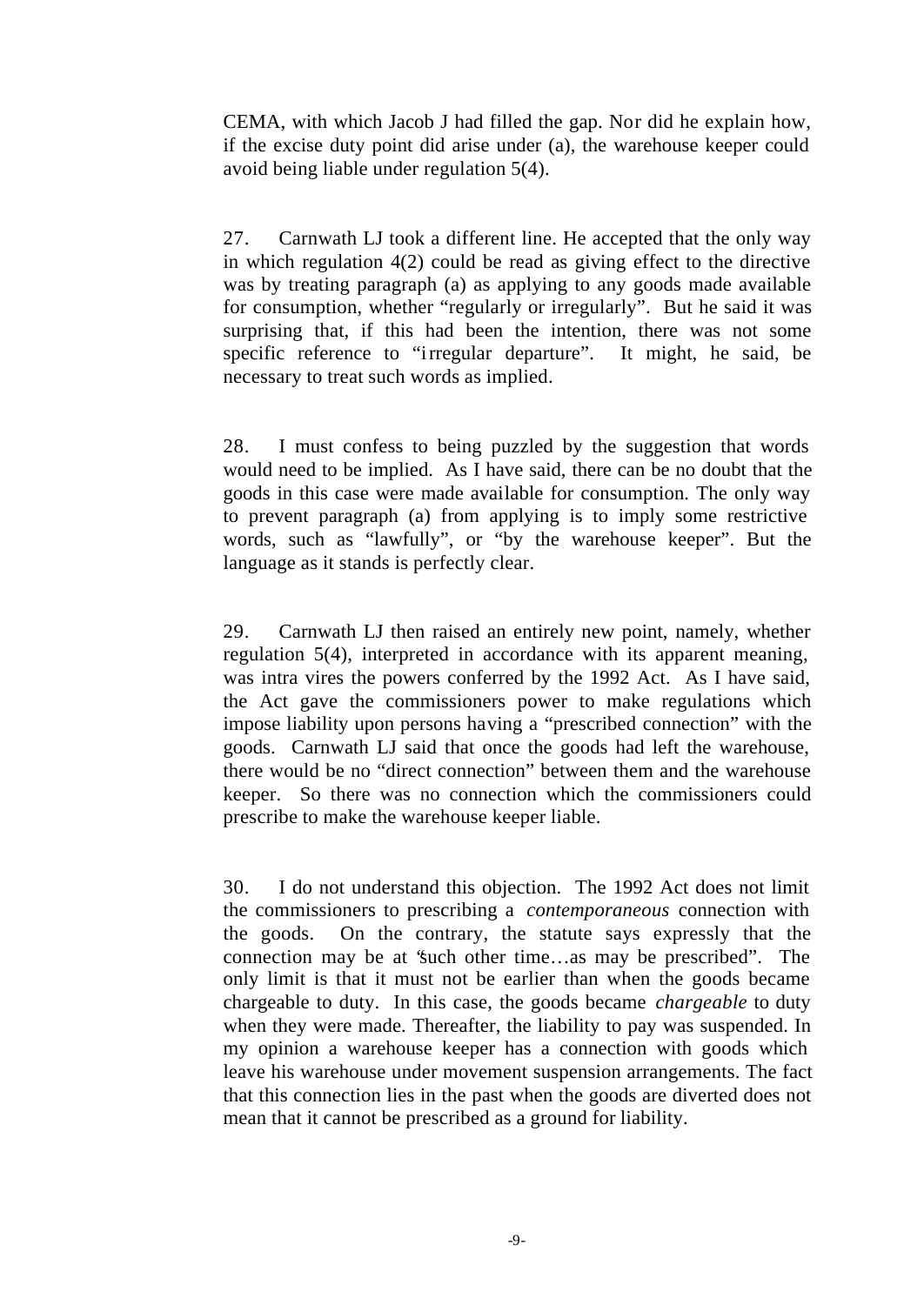CEMA, with which Jacob J had filled the gap. Nor did he explain how, if the excise duty point did arise under (a), the warehouse keeper could avoid being liable under regulation 5(4).

27. Carnwath LJ took a different line. He accepted that the only way in which regulation 4(2) could be read as giving effect to the directive was by treating paragraph (a) as applying to any goods made available for consumption, whether "regularly or irregularly". But he said it was surprising that, if this had been the intention, there was not some specific reference to "irregular departure". It might, he said, be necessary to treat such words as implied.

28. I must confess to being puzzled by the suggestion that words would need to be implied. As I have said, there can be no doubt that the goods in this case were made available for consumption. The only way to prevent paragraph (a) from applying is to imply some restrictive words, such as "lawfully", or "by the warehouse keeper". But the language as it stands is perfectly clear.

29. Carnwath LJ then raised an entirely new point, namely, whether regulation 5(4), interpreted in accordance with its apparent meaning, was intra vires the powers conferred by the 1992 Act. As I have said, the Act gave the commissioners power to make regulations which impose liability upon persons having a "prescribed connection" with the goods. Carnwath LJ said that once the goods had left the warehouse, there would be no "direct connection" between them and the warehouse keeper. So there was no connection which the commissioners could prescribe to make the warehouse keeper liable.

30. I do not understand this objection. The 1992 Act does not limit the commissioners to prescribing a *contemporaneous* connection with the goods. On the contrary, the statute says expressly that the connection may be at "such other time…as may be prescribed". The only limit is that it must not be earlier than when the goods became chargeable to duty. In this case, the goods became *chargeable* to duty when they were made. Thereafter, the liability to pay was suspended. In my opinion a warehouse keeper has a connection with goods which leave his warehouse under movement suspension arrangements. The fact that this connection lies in the past when the goods are diverted does not mean that it cannot be prescribed as a ground for liability.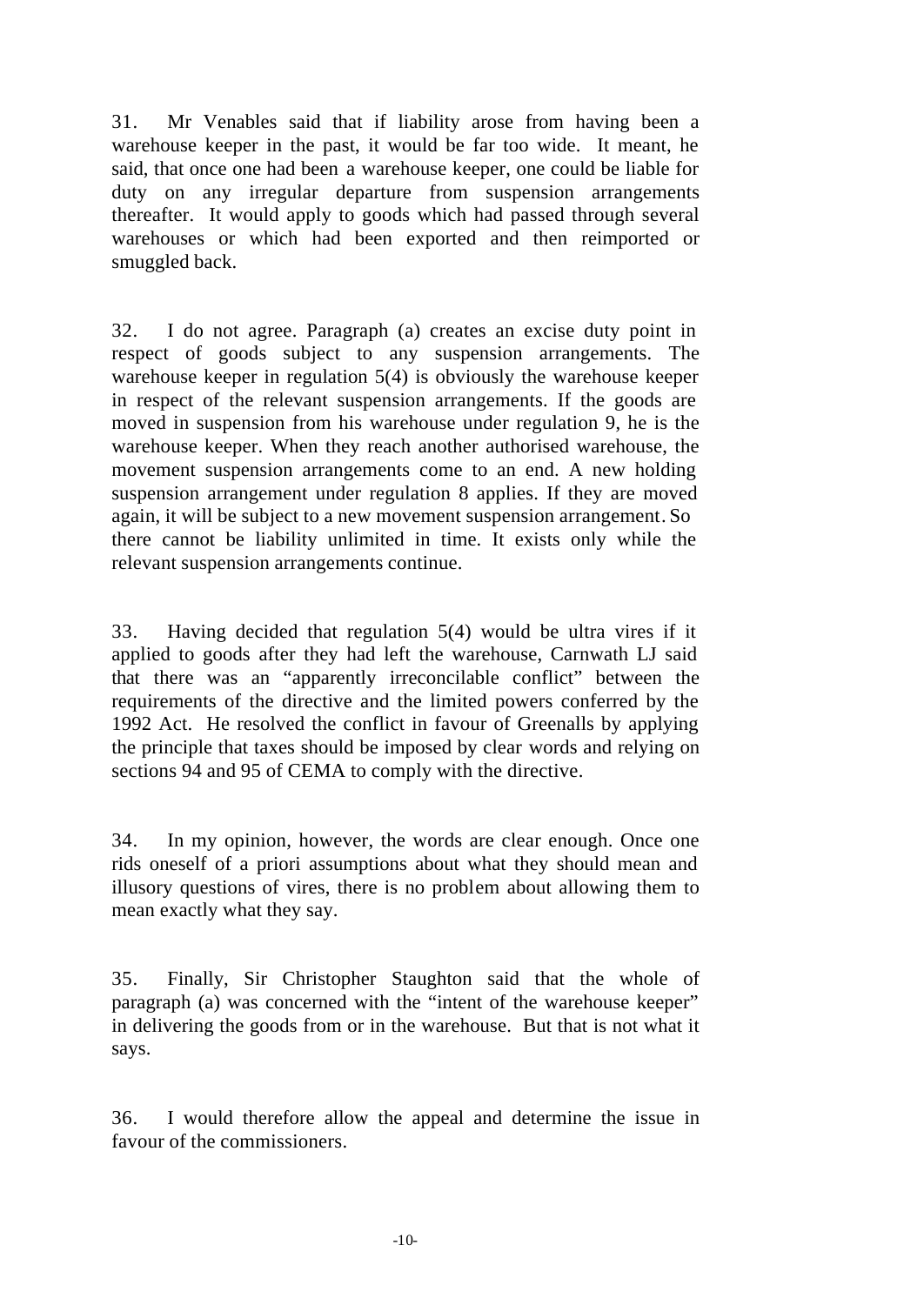31. Mr Venables said that if liability arose from having been a warehouse keeper in the past, it would be far too wide. It meant, he said, that once one had been a warehouse keeper, one could be liable for duty on any irregular departure from suspension arrangements thereafter. It would apply to goods which had passed through several warehouses or which had been exported and then reimported or smuggled back.

32. I do not agree. Paragraph (a) creates an excise duty point in respect of goods subject to any suspension arrangements. The warehouse keeper in regulation 5(4) is obviously the warehouse keeper in respect of the relevant suspension arrangements. If the goods are moved in suspension from his warehouse under regulation 9, he is the warehouse keeper. When they reach another authorised warehouse, the movement suspension arrangements come to an end. A new holding suspension arrangement under regulation 8 applies. If they are moved again, it will be subject to a new movement suspension arrangement. So there cannot be liability unlimited in time. It exists only while the relevant suspension arrangements continue.

33. Having decided that regulation 5(4) would be ultra vires if it applied to goods after they had left the warehouse, Carnwath LJ said that there was an "apparently irreconcilable conflict" between the requirements of the directive and the limited powers conferred by the 1992 Act. He resolved the conflict in favour of Greenalls by applying the principle that taxes should be imposed by clear words and relying on sections 94 and 95 of CEMA to comply with the directive.

34. In my opinion, however, the words are clear enough. Once one rids oneself of a priori assumptions about what they should mean and illusory questions of vires, there is no problem about allowing them to mean exactly what they say.

35. Finally, Sir Christopher Staughton said that the whole of paragraph (a) was concerned with the "intent of the warehouse keeper" in delivering the goods from or in the warehouse. But that is not what it says.

36. I would therefore allow the appeal and determine the issue in favour of the commissioners.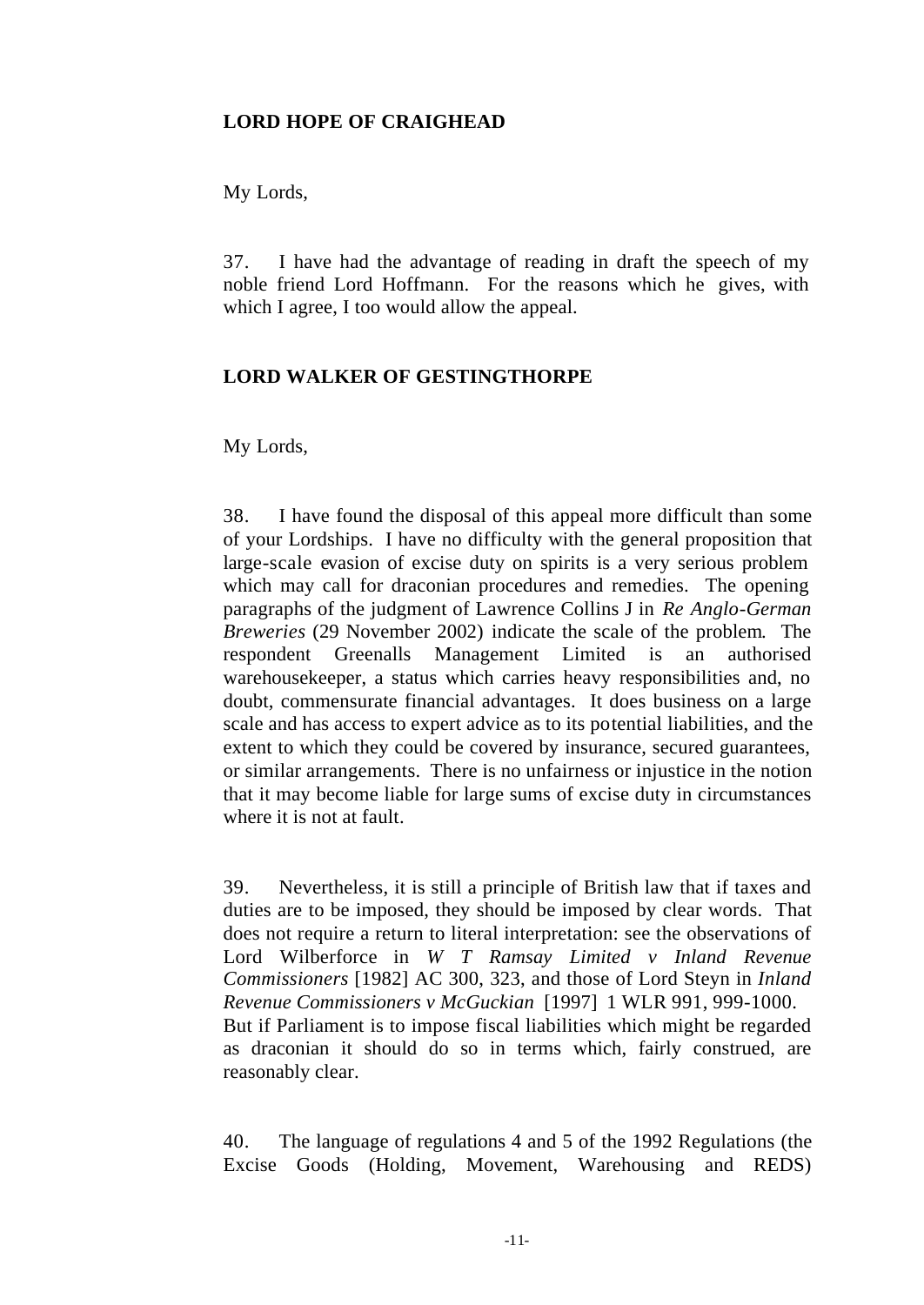#### **LORD HOPE OF CRAIGHEAD**

My Lords,

37. I have had the advantage of reading in draft the speech of my noble friend Lord Hoffmann. For the reasons which he gives, with which I agree, I too would allow the appeal.

#### **LORD WALKER OF GESTINGTHORPE**

My Lords,

38. I have found the disposal of this appeal more difficult than some of your Lordships. I have no difficulty with the general proposition that large-scale evasion of excise duty on spirits is a very serious problem which may call for draconian procedures and remedies. The opening paragraphs of the judgment of Lawrence Collins J in *Re Anglo-German Breweries* (29 November 2002) indicate the scale of the problem. The respondent Greenalls Management Limited is an authorised warehousekeeper, a status which carries heavy responsibilities and, no doubt, commensurate financial advantages. It does business on a large scale and has access to expert advice as to its potential liabilities, and the extent to which they could be covered by insurance, secured guarantees, or similar arrangements. There is no unfairness or injustice in the notion that it may become liable for large sums of excise duty in circumstances where it is not at fault.

39. Nevertheless, it is still a principle of British law that if taxes and duties are to be imposed, they should be imposed by clear words. That does not require a return to literal interpretation: see the observations of Lord Wilberforce in *W T Ramsay Limited v Inland Revenue Commissioners* [1982] AC 300, 323, and those of Lord Steyn in *Inland Revenue Commissioners v McGuckian* [1997] 1 WLR 991, 999-1000. But if Parliament is to impose fiscal liabilities which might be regarded as draconian it should do so in terms which, fairly construed, are reasonably clear.

40. The language of regulations 4 and 5 of the 1992 Regulations (the Excise Goods (Holding, Movement, Warehousing and REDS)